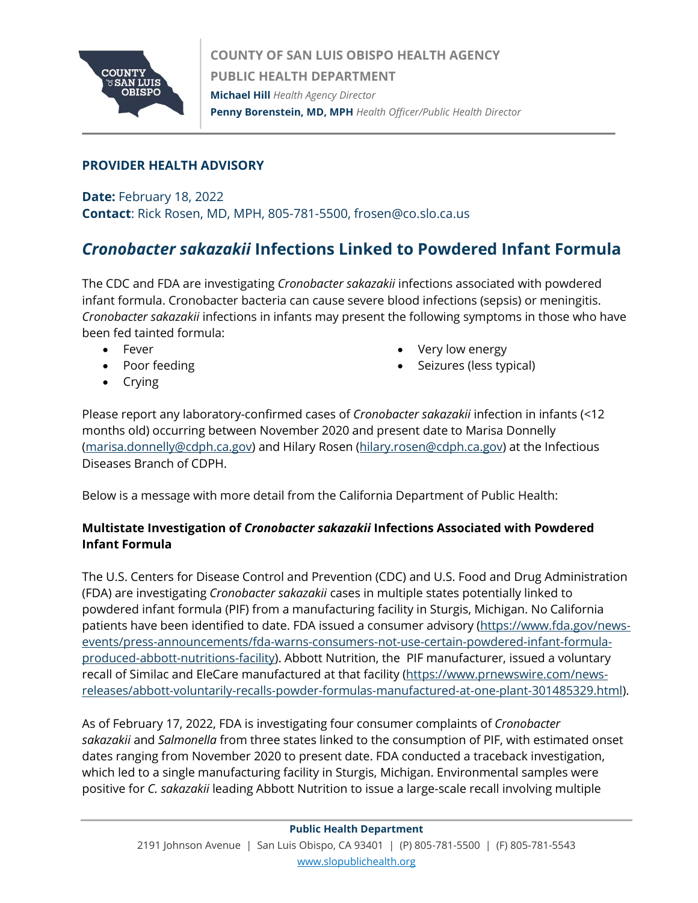

## **PROVIDER HEALTH ADVISORY**

**Date:** February 18, 2022 **Contact**: Rick Rosen, MD, MPH, 805-781-5500, frosen@co.slo.ca.us

## *Cronobacter sakazakii* **Infections Linked to Powdered Infant Formula**

The CDC and FDA are investigating *Cronobacter sakazakii* infections associated with powdered infant formula. Cronobacter bacteria can cause severe blood infections (sepsis) or meningitis. *Cronobacter sakazakii* infections in infants may present the following symptoms in those who have been fed tainted formula:

- Fever
- Poor feeding
- Very low energy
- Seizures (less typical)

• Crying

Please report any laboratory-confirmed cases of *Cronobacter sakazakii* infection in infants (<12 months old) occurring between November 2020 and present date to Marisa Donnelly [\(marisa.donnelly@cdph.ca.gov\)](mailto:marisa.donnelly@cdph.ca.gov) and Hilary Rosen [\(hilary.rosen@cdph.ca.gov\)](mailto:hilary.rosen@cdph.ca.gov) at the Infectious Diseases Branch of CDPH.

Below is a message with more detail from the California Department of Public Health:

## **Multistate Investigation of** *Cronobacter sakazakii* **Infections Associated with Powdered Infant Formula**

The U.S. Centers for Disease Control and Prevention (CDC) and U.S. Food and Drug Administration (FDA) are investigating *Cronobacter sakazakii* cases in multiple states potentially linked to powdered infant formula (PIF) from a manufacturing facility in Sturgis, Michigan. No California patients have been identified to date. FDA issued a consumer advisory [\(https://www.fda.gov/news](https://www.fda.gov/news-events/press-announcements/fda-warns-consumers-not-use-certain-powdered-infant-formula-produced-abbott-nutritions-facility)[events/press-announcements/fda-warns-consumers-not-use-certain-powdered-infant-formula](https://www.fda.gov/news-events/press-announcements/fda-warns-consumers-not-use-certain-powdered-infant-formula-produced-abbott-nutritions-facility)[produced-abbott-nutritions-facility\)](https://www.fda.gov/news-events/press-announcements/fda-warns-consumers-not-use-certain-powdered-infant-formula-produced-abbott-nutritions-facility). Abbott Nutrition, the PIF manufacturer, issued a voluntary recall of Similac and EleCare manufactured at that facility [\(https://www.prnewswire.com/news](https://gcc02.safelinks.protection.outlook.com/?url=https%3A%2F%2Fwww.prnewswire.com%2Fnews-releases%2Fabbott-voluntarily-recalls-powder-formulas-manufactured-at-one-plant-301485329.html&data=04%7C01%7Comontiano%40co.slo.ca.us%7C7b019f870e1d4b81e89c08d9f3061cef%7C84c3c7747fdf40e2a59027b2e70f8126%7C0%7C0%7C637808029836463045%7CUnknown%7CTWFpbGZsb3d8eyJWIjoiMC4wLjAwMDAiLCJQIjoiV2luMzIiLCJBTiI6Ik1haWwiLCJXVCI6Mn0%3D%7C3000&sdata=tyCJ1ShzeyG2Yo45qN7ryW3cxVsKvF%2FJnDm2MjmOtB4%3D&reserved=0)[releases/abbott-voluntarily-recalls-powder-formulas-manufactured-at-one-plant-301485329.html\)](https://gcc02.safelinks.protection.outlook.com/?url=https%3A%2F%2Fwww.prnewswire.com%2Fnews-releases%2Fabbott-voluntarily-recalls-powder-formulas-manufactured-at-one-plant-301485329.html&data=04%7C01%7Comontiano%40co.slo.ca.us%7C7b019f870e1d4b81e89c08d9f3061cef%7C84c3c7747fdf40e2a59027b2e70f8126%7C0%7C0%7C637808029836463045%7CUnknown%7CTWFpbGZsb3d8eyJWIjoiMC4wLjAwMDAiLCJQIjoiV2luMzIiLCJBTiI6Ik1haWwiLCJXVCI6Mn0%3D%7C3000&sdata=tyCJ1ShzeyG2Yo45qN7ryW3cxVsKvF%2FJnDm2MjmOtB4%3D&reserved=0).

As of February 17, 2022, FDA is investigating four consumer complaints of *Cronobacter sakazakii* and *Salmonella* from three states linked to the consumption of PIF, with estimated onset dates ranging from November 2020 to present date. FDA conducted a traceback investigation, which led to a single manufacturing facility in Sturgis, Michigan. Environmental samples were positive for *C. sakazakii* leading Abbott Nutrition to issue a large-scale recall involving multiple